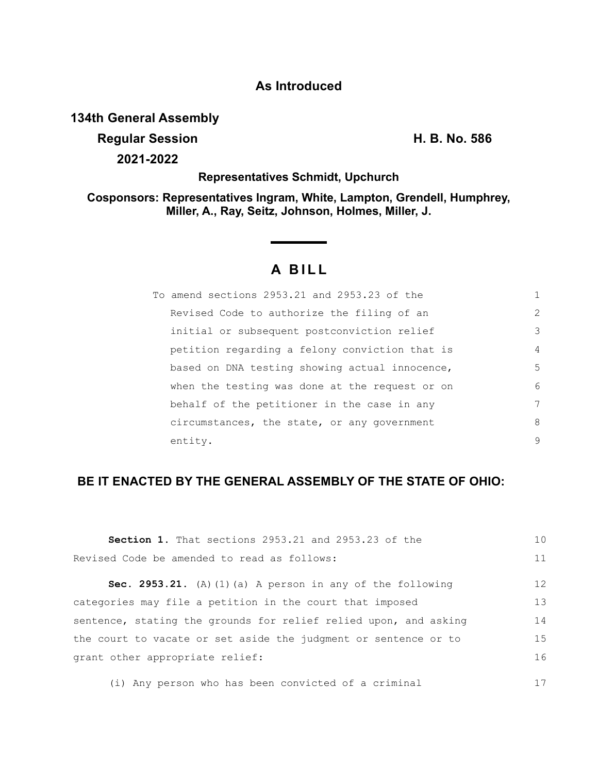## **As Introduced**

## **134th General Assembly**

**Regular Session H. B. No. 586**

**2021-2022**

**Representatives Schmidt, Upchurch**

**Cosponsors: Representatives Ingram, White, Lampton, Grendell, Humphrey, Miller, A., Ray, Seitz, Johnson, Holmes, Miller, J.**

# **A B I L L**

| To amend sections 2953.21 and 2953.23 of the   |               |
|------------------------------------------------|---------------|
| Revised Code to authorize the filing of an     | $\mathcal{L}$ |
| initial or subsequent postconviction relief    | 3             |
| petition regarding a felony conviction that is | 4             |
| based on DNA testing showing actual innocence, | 5             |
| when the testing was done at the request or on | 6             |
| behalf of the petitioner in the case in any    | 7             |
| circumstances, the state, or any government    | 8             |
| entity.                                        | 9             |

### **BE IT ENACTED BY THE GENERAL ASSEMBLY OF THE STATE OF OHIO:**

| <b>Section 1.</b> That sections 2953.21 and 2953.23 of the       | 10 |
|------------------------------------------------------------------|----|
| Revised Code be amended to read as follows:                      | 11 |
| Sec. 2953.21. (A) (1) (a) A person in any of the following       | 12 |
| categories may file a petition in the court that imposed         | 13 |
| sentence, stating the grounds for relief relied upon, and asking | 14 |
| the court to vacate or set aside the judgment or sentence or to  | 15 |
| grant other appropriate relief:                                  | 16 |
|                                                                  |    |

(i) Any person who has been convicted of a criminal 17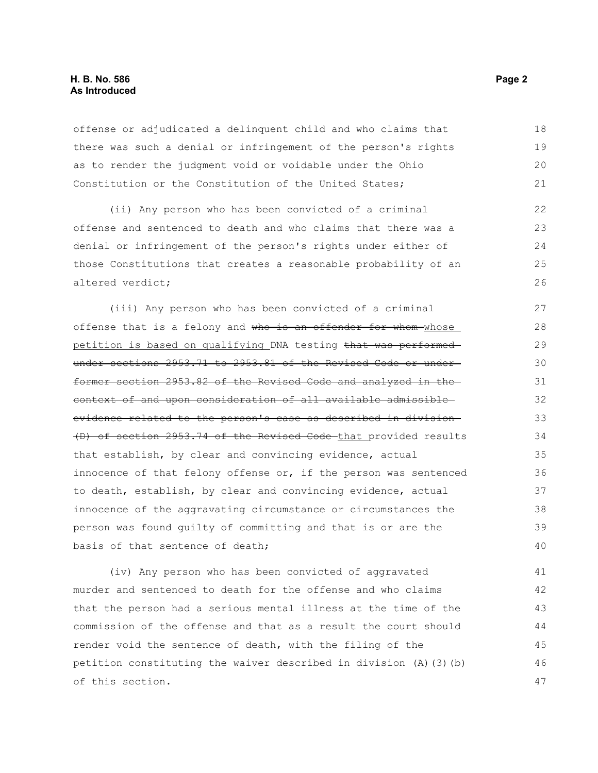#### **H. B. No. 586 Page 2 As Introduced**

offense or adjudicated a delinquent child and who claims that there was such a denial or infringement of the person's rights as to render the judgment void or voidable under the Ohio Constitution or the Constitution of the United States; 18 19 20 21

(ii) Any person who has been convicted of a criminal offense and sentenced to death and who claims that there was a denial or infringement of the person's rights under either of those Constitutions that creates a reasonable probability of an altered verdict; 22 23  $24$ 25 26

(iii) Any person who has been convicted of a criminal offense that is a felony and who is an offender for whom whose petition is based on qualifying DNA testing that was performed under sections 2953.71 to 2953.81 of the Revised Code or underformer section 2953.82 of the Revised Code and analyzed in the context of and upon consideration of all available admissible evidence related to the person's case as described in division (D) of section 2953.74 of the Revised Code that provided results that establish, by clear and convincing evidence, actual innocence of that felony offense or, if the person was sentenced to death, establish, by clear and convincing evidence, actual innocence of the aggravating circumstance or circumstances the person was found guilty of committing and that is or are the basis of that sentence of death; 27 28 29 30 31 32 33 34 35 36 37 38 39 40

(iv) Any person who has been convicted of aggravated murder and sentenced to death for the offense and who claims that the person had a serious mental illness at the time of the commission of the offense and that as a result the court should render void the sentence of death, with the filing of the petition constituting the waiver described in division (A)(3)(b) of this section. 41 42 43 44 45 46 47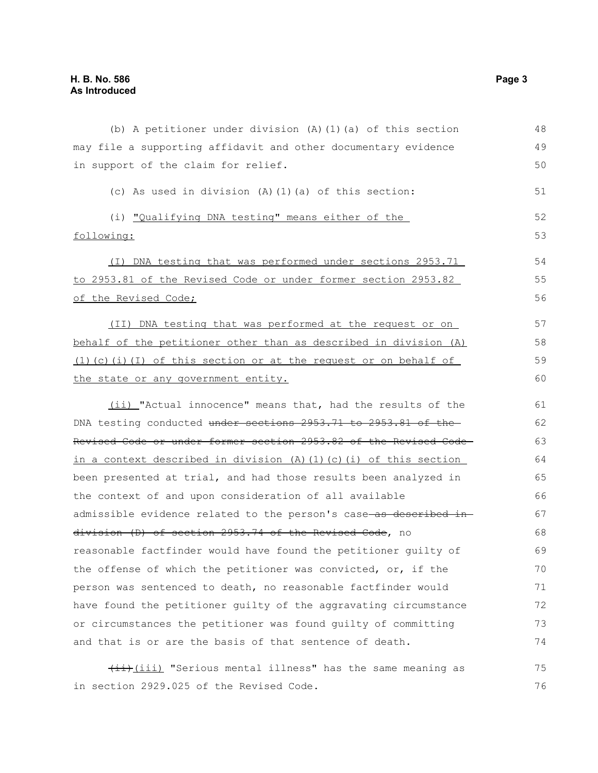| (b) A petitioner under division $(A)$ $(1)$ $(a)$ of this section                                                                                                                                                                                                                                                                | 48 |
|----------------------------------------------------------------------------------------------------------------------------------------------------------------------------------------------------------------------------------------------------------------------------------------------------------------------------------|----|
| may file a supporting affidavit and other documentary evidence                                                                                                                                                                                                                                                                   | 49 |
| in support of the claim for relief.                                                                                                                                                                                                                                                                                              | 50 |
| (c) As used in division (A) (1) (a) of this section:                                                                                                                                                                                                                                                                             | 51 |
| (i) "Qualifying DNA testing" means either of the                                                                                                                                                                                                                                                                                 | 52 |
| following:                                                                                                                                                                                                                                                                                                                       | 53 |
| (I) DNA testing that was performed under sections 2953.71                                                                                                                                                                                                                                                                        | 54 |
| to 2953.81 of the Revised Code or under former section 2953.82                                                                                                                                                                                                                                                                   | 55 |
| of the Revised Code;<br>(II) DNA testing that was performed at the request or on<br>behalf of the petitioner other than as described in division (A)<br>$(1)$ (c) (i) (I) of this section or at the request or on behalf of<br>the state or any government entity.<br>(ii) "Actual innocence" means that, had the results of the |    |
|                                                                                                                                                                                                                                                                                                                                  | 57 |
|                                                                                                                                                                                                                                                                                                                                  | 58 |
|                                                                                                                                                                                                                                                                                                                                  | 59 |
|                                                                                                                                                                                                                                                                                                                                  | 60 |
|                                                                                                                                                                                                                                                                                                                                  | 61 |
| DNA testing conducted under sections 2953.71 to 2953.81 of the                                                                                                                                                                                                                                                                   | 62 |
| Revised Code or under former section 2953.82 of the Revised Code-                                                                                                                                                                                                                                                                | 63 |
| in a context described in division (A)(1)(c)(i) of this section                                                                                                                                                                                                                                                                  | 64 |
| been presented at trial, and had those results been analyzed in                                                                                                                                                                                                                                                                  | 65 |
| the context of and upon consideration of all available                                                                                                                                                                                                                                                                           | 66 |
| admissible evidence related to the person's case as described in                                                                                                                                                                                                                                                                 | 67 |
| division (D) of section 2953.74 of the Revised Code, no                                                                                                                                                                                                                                                                          | 68 |
| reasonable factfinder would have found the petitioner quilty of                                                                                                                                                                                                                                                                  | 69 |
| the offense of which the petitioner was convicted, or, if the                                                                                                                                                                                                                                                                    | 70 |
| person was sentenced to death, no reasonable factfinder would                                                                                                                                                                                                                                                                    | 71 |
| have found the petitioner guilty of the aggravating circumstance                                                                                                                                                                                                                                                                 | 72 |
| or circumstances the petitioner was found guilty of committing                                                                                                                                                                                                                                                                   | 73 |
| and that is or are the basis of that sentence of death.                                                                                                                                                                                                                                                                          | 74 |
| (ii) "Serious mental illness" has the same meaning as                                                                                                                                                                                                                                                                            | 75 |
| in section 2929.025 of the Revised Code.                                                                                                                                                                                                                                                                                         | 76 |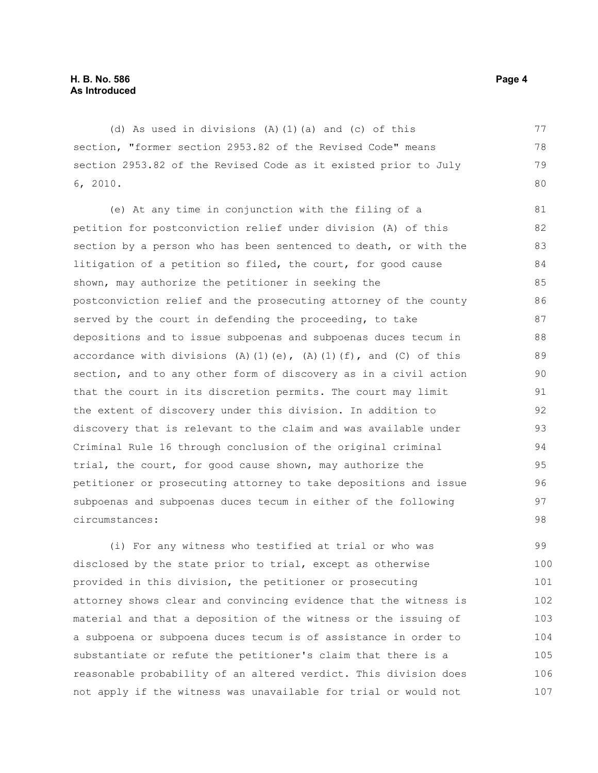(d) As used in divisions (A)(1)(a) and (c) of this section, "former section 2953.82 of the Revised Code" means section 2953.82 of the Revised Code as it existed prior to July 6, 2010. 78 79

(e) At any time in conjunction with the filing of a petition for postconviction relief under division (A) of this section by a person who has been sentenced to death, or with the litigation of a petition so filed, the court, for good cause shown, may authorize the petitioner in seeking the postconviction relief and the prosecuting attorney of the county served by the court in defending the proceeding, to take depositions and to issue subpoenas and subpoenas duces tecum in accordance with divisions (A)(1)(e), (A)(1)(f), and (C) of this section, and to any other form of discovery as in a civil action that the court in its discretion permits. The court may limit the extent of discovery under this division. In addition to discovery that is relevant to the claim and was available under Criminal Rule 16 through conclusion of the original criminal trial, the court, for good cause shown, may authorize the petitioner or prosecuting attorney to take depositions and issue subpoenas and subpoenas duces tecum in either of the following circumstances: 81 82 83 84 85 86 87 88 89 90 91 92 93 94 95 96 97 98

(i) For any witness who testified at trial or who was disclosed by the state prior to trial, except as otherwise provided in this division, the petitioner or prosecuting attorney shows clear and convincing evidence that the witness is material and that a deposition of the witness or the issuing of a subpoena or subpoena duces tecum is of assistance in order to substantiate or refute the petitioner's claim that there is a reasonable probability of an altered verdict. This division does not apply if the witness was unavailable for trial or would not 99 100 101 102 103 104 105 106 107

77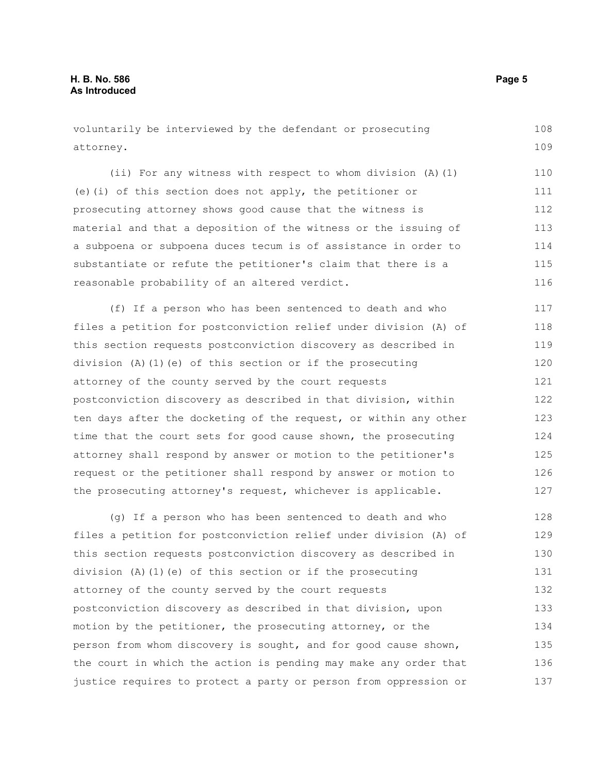voluntarily be interviewed by the defendant or prosecuting attorney. 108 109

(ii) For any witness with respect to whom division (A)(1) (e)(i) of this section does not apply, the petitioner or prosecuting attorney shows good cause that the witness is material and that a deposition of the witness or the issuing of a subpoena or subpoena duces tecum is of assistance in order to substantiate or refute the petitioner's claim that there is a reasonable probability of an altered verdict. 110 111 112 113 114 115 116

(f) If a person who has been sentenced to death and who files a petition for postconviction relief under division (A) of this section requests postconviction discovery as described in division  $(A)$   $(1)$   $(e)$  of this section or if the prosecuting attorney of the county served by the court requests postconviction discovery as described in that division, within ten days after the docketing of the request, or within any other time that the court sets for good cause shown, the prosecuting attorney shall respond by answer or motion to the petitioner's request or the petitioner shall respond by answer or motion to the prosecuting attorney's request, whichever is applicable. 117 118 119 120 121 122 123 124 125 126 127

(g) If a person who has been sentenced to death and who files a petition for postconviction relief under division (A) of this section requests postconviction discovery as described in division (A)(1)(e) of this section or if the prosecuting attorney of the county served by the court requests postconviction discovery as described in that division, upon motion by the petitioner, the prosecuting attorney, or the person from whom discovery is sought, and for good cause shown, the court in which the action is pending may make any order that justice requires to protect a party or person from oppression or 128 129 130 131 132 133 134 135 136 137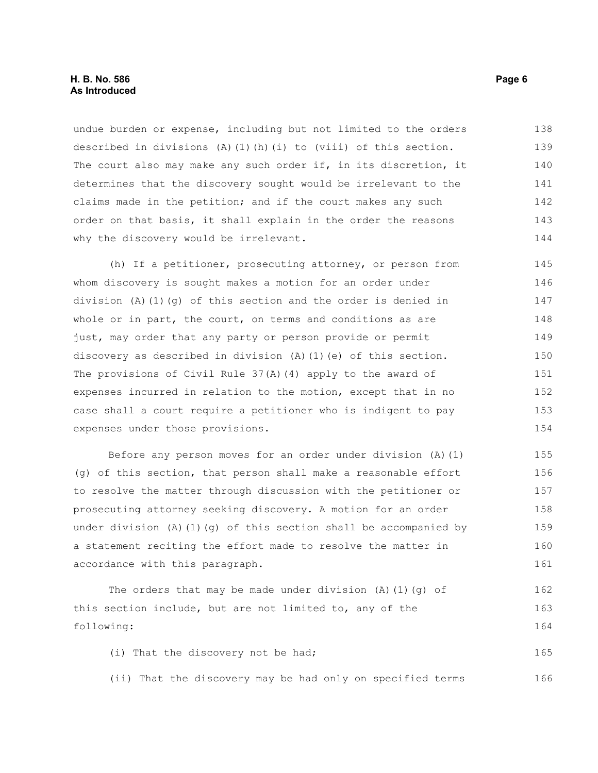#### **H. B. No. 586 Page 6 As Introduced**

undue burden or expense, including but not limited to the orders described in divisions  $(A)$   $(1)$   $(h)$   $(i)$  to (viii) of this section. The court also may make any such order if, in its discretion, it determines that the discovery sought would be irrelevant to the claims made in the petition; and if the court makes any such order on that basis, it shall explain in the order the reasons why the discovery would be irrelevant. 138 139 140 141 142 143 144

(h) If a petitioner, prosecuting attorney, or person from whom discovery is sought makes a motion for an order under division (A)(1)(g) of this section and the order is denied in whole or in part, the court, on terms and conditions as are just, may order that any party or person provide or permit discovery as described in division (A)(1)(e) of this section. The provisions of Civil Rule 37(A)(4) apply to the award of expenses incurred in relation to the motion, except that in no case shall a court require a petitioner who is indigent to pay expenses under those provisions. 145 146 147 148 149 150 151 152 153 154

Before any person moves for an order under division (A)(1) (g) of this section, that person shall make a reasonable effort to resolve the matter through discussion with the petitioner or prosecuting attorney seeking discovery. A motion for an order under division (A)(1)(q) of this section shall be accompanied by a statement reciting the effort made to resolve the matter in accordance with this paragraph. 155 156 157 158 159 160 161

The orders that may be made under division  $(A)$   $(1)$   $(q)$  of this section include, but are not limited to, any of the following: 162 163 164

(i) That the discovery not be had; 165

(ii) That the discovery may be had only on specified terms 166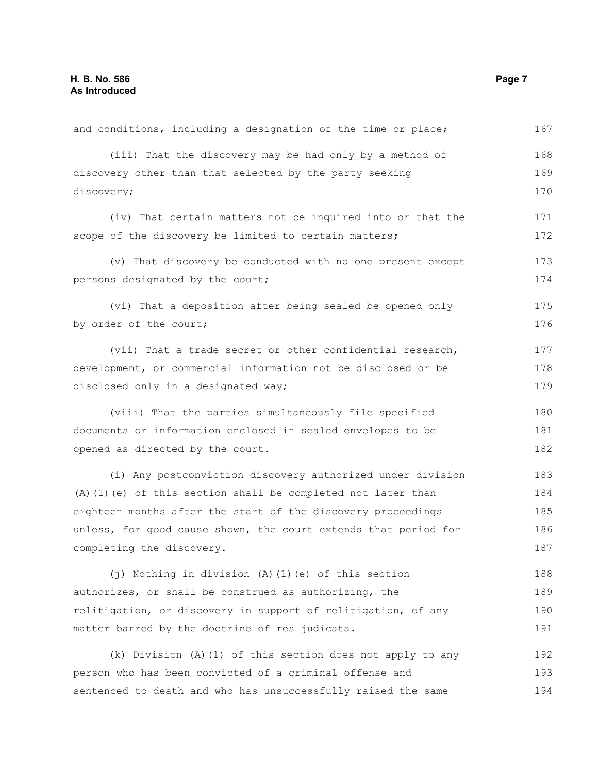| and conditions, including a designation of the time or place;   | 167 |
|-----------------------------------------------------------------|-----|
| (iii) That the discovery may be had only by a method of         | 168 |
| discovery other than that selected by the party seeking         | 169 |
| discovery;                                                      |     |
| (iv) That certain matters not be inquired into or that the      | 171 |
| scope of the discovery be limited to certain matters;           | 172 |
| (v) That discovery be conducted with no one present except      | 173 |
| persons designated by the court;                                | 174 |
| (vi) That a deposition after being sealed be opened only        | 175 |
| by order of the court;                                          | 176 |
| (vii) That a trade secret or other confidential research,       | 177 |
| development, or commercial information not be disclosed or be   | 178 |
| disclosed only in a designated way;                             | 179 |
| (viii) That the parties simultaneously file specified           | 180 |
| documents or information enclosed in sealed envelopes to be     | 181 |
| opened as directed by the court.                                | 182 |
| (i) Any postconviction discovery authorized under division      | 183 |
| (A) (1) (e) of this section shall be completed not later than   | 184 |
| eighteen months after the start of the discovery proceedings    | 185 |
| unless, for good cause shown, the court extends that period for | 186 |
| completing the discovery.                                       | 187 |
| (j) Nothing in division (A) (1) (e) of this section             | 188 |
| authorizes, or shall be construed as authorizing, the           | 189 |
| relitigation, or discovery in support of relitigation, of any   | 190 |
| matter barred by the doctrine of res judicata.                  | 191 |
| (k) Division (A) (1) of this section does not apply to any      | 192 |
| person who has been convicted of a criminal offense and         | 193 |
| sentenced to death and who has unsuccessfully raised the same   | 194 |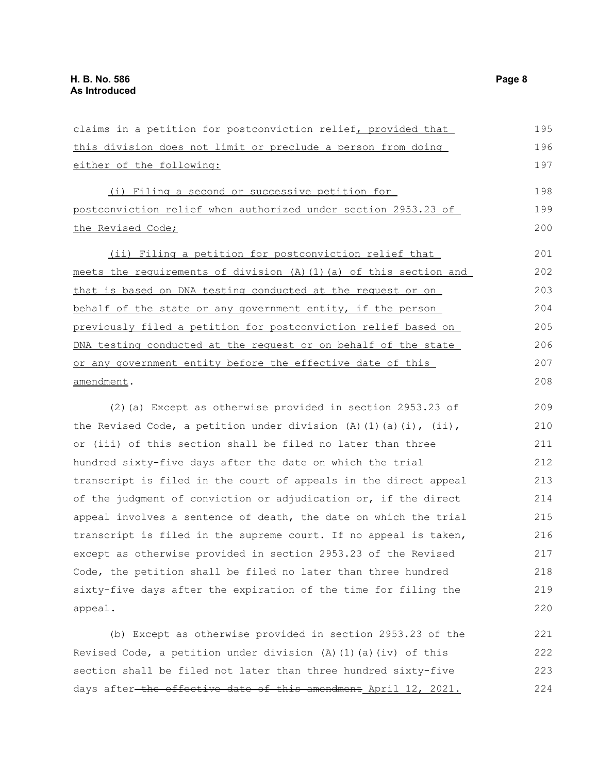| claims in a petition for postconviction relief, provided that      | 195 |
|--------------------------------------------------------------------|-----|
| this division does not limit or preclude a person from doing       | 196 |
| either of the following:                                           | 197 |
| (i) Filing a second or successive petition for                     | 198 |
| postconviction relief when authorized under section 2953.23 of     | 199 |
| the Revised Code;                                                  | 200 |
| (ii) Filing a petition for postconviction relief that              | 201 |
| meets the requirements of division (A) (1) (a) of this section and | 202 |
| that is based on DNA testing conducted at the request or on        | 203 |
| behalf of the state or any government entity, if the person        | 204 |
| previously filed a petition for postconviction relief based on     | 205 |
| DNA testing conducted at the request or on behalf of the state     | 206 |
| or any government entity before the effective date of this         | 207 |
| amendment.                                                         | 208 |
| (2) (a) Except as otherwise provided in section 2953.23 of         | 209 |
| the Revised Code, a petition under division (A)(1)(a)(i), (ii),    | 210 |
| or (iii) of this section shall be filed no later than three        |     |
| hundred sixty-five days after the date on which the trial          |     |
| transcript is filed in the court of appeals in the direct appeal   | 213 |
| of the judgment of conviction or adjudication or, if the direct    | 214 |
| appeal involves a sentence of death, the date on which the trial   | 215 |
| transcript is filed in the supreme court. If no appeal is taken,   | 216 |
| except as otherwise provided in section 2953.23 of the Revised     | 217 |
| Code, the petition shall be filed no later than three hundred      | 218 |
| sixty-five days after the expiration of the time for filing the    | 219 |
| appeal.                                                            | 220 |
| (b) Except as otherwise provided in section 2953.23 of the         | 221 |
| Revised Code, a petition under division (A) (1) (a) (iv) of this   | 222 |
| section shall be filed not later than three hundred sixty-five     | 223 |

days after-the effective date of this amendment April 12, 2021.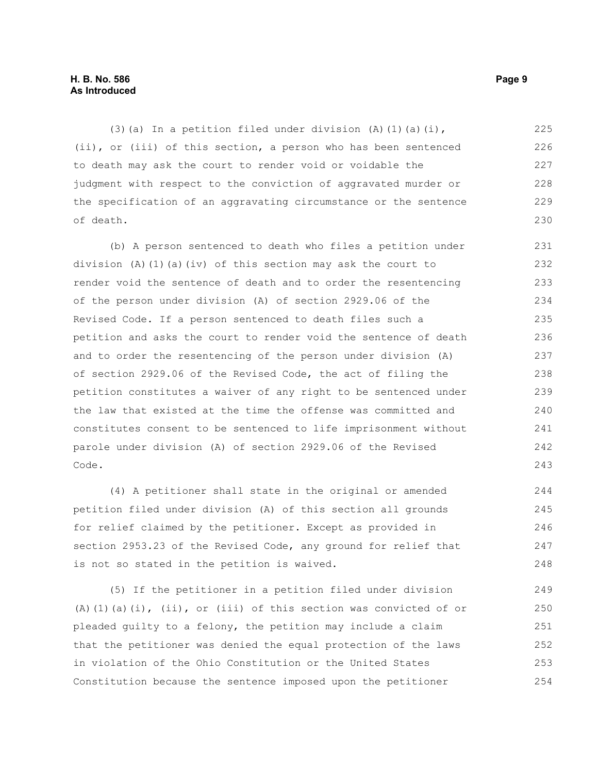#### **H. B. No. 586 Page 9 As Introduced**

(3)(a) In a petition filed under division (A)(1)(a)(i), (ii), or (iii) of this section, a person who has been sentenced to death may ask the court to render void or voidable the judgment with respect to the conviction of aggravated murder or the specification of an aggravating circumstance or the sentence of death. 225 226 227 228 229 230

(b) A person sentenced to death who files a petition under division (A)(1)(a)(iv) of this section may ask the court to render void the sentence of death and to order the resentencing of the person under division (A) of section 2929.06 of the Revised Code. If a person sentenced to death files such a petition and asks the court to render void the sentence of death and to order the resentencing of the person under division (A) of section 2929.06 of the Revised Code, the act of filing the petition constitutes a waiver of any right to be sentenced under the law that existed at the time the offense was committed and constitutes consent to be sentenced to life imprisonment without parole under division (A) of section 2929.06 of the Revised Code. 231 232 233 234 235 236 237 238 239 240 241 242 243

(4) A petitioner shall state in the original or amended petition filed under division (A) of this section all grounds for relief claimed by the petitioner. Except as provided in section 2953.23 of the Revised Code, any ground for relief that is not so stated in the petition is waived. 244 245 246 247 248

(5) If the petitioner in a petition filed under division (A)(1)(a)(i),  $(ii)$ , or (iii) of this section was convicted of or pleaded guilty to a felony, the petition may include a claim that the petitioner was denied the equal protection of the laws in violation of the Ohio Constitution or the United States Constitution because the sentence imposed upon the petitioner 249 250 251 252 253 254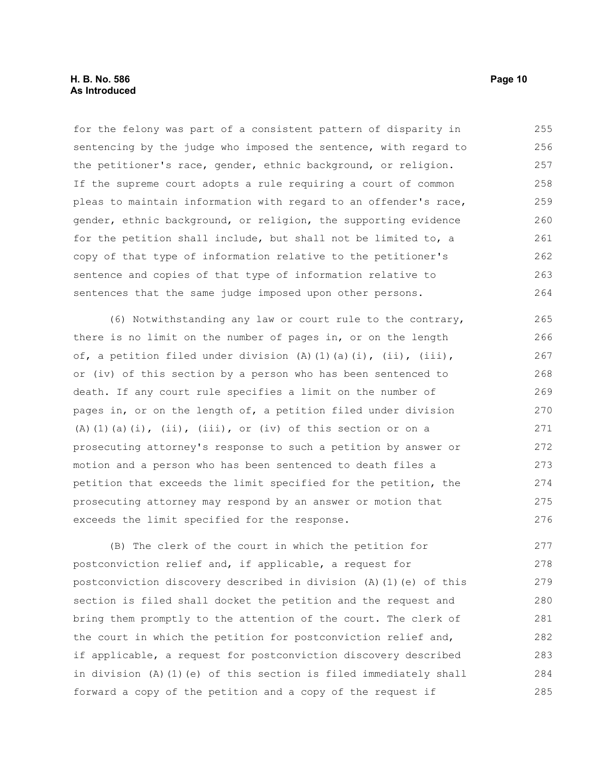for the felony was part of a consistent pattern of disparity in sentencing by the judge who imposed the sentence, with regard to the petitioner's race, gender, ethnic background, or religion. If the supreme court adopts a rule requiring a court of common pleas to maintain information with regard to an offender's race, gender, ethnic background, or religion, the supporting evidence for the petition shall include, but shall not be limited to, a copy of that type of information relative to the petitioner's sentence and copies of that type of information relative to sentences that the same judge imposed upon other persons. 255 256 257 258 259 260 261 262 263 264

(6) Notwithstanding any law or court rule to the contrary, there is no limit on the number of pages in, or on the length of, a petition filed under division (A)(1)(a)(i), (ii), (iii), or (iv) of this section by a person who has been sentenced to death. If any court rule specifies a limit on the number of pages in, or on the length of, a petition filed under division (A)(1)(a)(i), (ii), (iii), or (iv) of this section or on a prosecuting attorney's response to such a petition by answer or motion and a person who has been sentenced to death files a petition that exceeds the limit specified for the petition, the prosecuting attorney may respond by an answer or motion that exceeds the limit specified for the response. 265 266 267 268 269 270 271 272 273 274 275 276

(B) The clerk of the court in which the petition for postconviction relief and, if applicable, a request for postconviction discovery described in division (A)(1)(e) of this section is filed shall docket the petition and the request and bring them promptly to the attention of the court. The clerk of the court in which the petition for postconviction relief and, if applicable, a request for postconviction discovery described in division (A)(1)(e) of this section is filed immediately shall forward a copy of the petition and a copy of the request if 277 278 279 280 281 282 283 284 285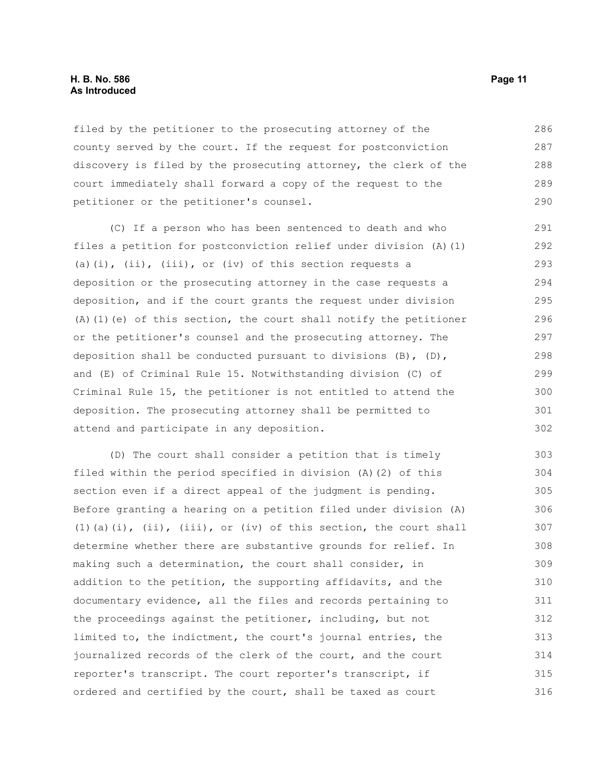#### **H. B. No. 586 Page 11 As Introduced**

filed by the petitioner to the prosecuting attorney of the county served by the court. If the request for postconviction discovery is filed by the prosecuting attorney, the clerk of the court immediately shall forward a copy of the request to the petitioner or the petitioner's counsel. 286 287 288 289 290

(C) If a person who has been sentenced to death and who files a petition for postconviction relief under division (A)(1) (a)(i), (ii), (iii), or (iv) of this section requests a deposition or the prosecuting attorney in the case requests a deposition, and if the court grants the request under division (A)(1)(e) of this section, the court shall notify the petitioner or the petitioner's counsel and the prosecuting attorney. The deposition shall be conducted pursuant to divisions  $(B)$ ,  $(D)$ , and (E) of Criminal Rule 15. Notwithstanding division (C) of Criminal Rule 15, the petitioner is not entitled to attend the deposition. The prosecuting attorney shall be permitted to attend and participate in any deposition. 291 292 293 294 295 296 297 298 299 300 301 302

(D) The court shall consider a petition that is timely filed within the period specified in division (A)(2) of this section even if a direct appeal of the judgment is pending. Before granting a hearing on a petition filed under division (A)  $(1)(a)(i)$ ,  $(ii)$ ,  $(iii)$ ,  $(iii)$ , or  $(iv)$  of this section, the court shall determine whether there are substantive grounds for relief. In making such a determination, the court shall consider, in addition to the petition, the supporting affidavits, and the documentary evidence, all the files and records pertaining to the proceedings against the petitioner, including, but not limited to, the indictment, the court's journal entries, the journalized records of the clerk of the court, and the court reporter's transcript. The court reporter's transcript, if ordered and certified by the court, shall be taxed as court 303 304 305 306 307 308 309 310 311 312 313 314 315 316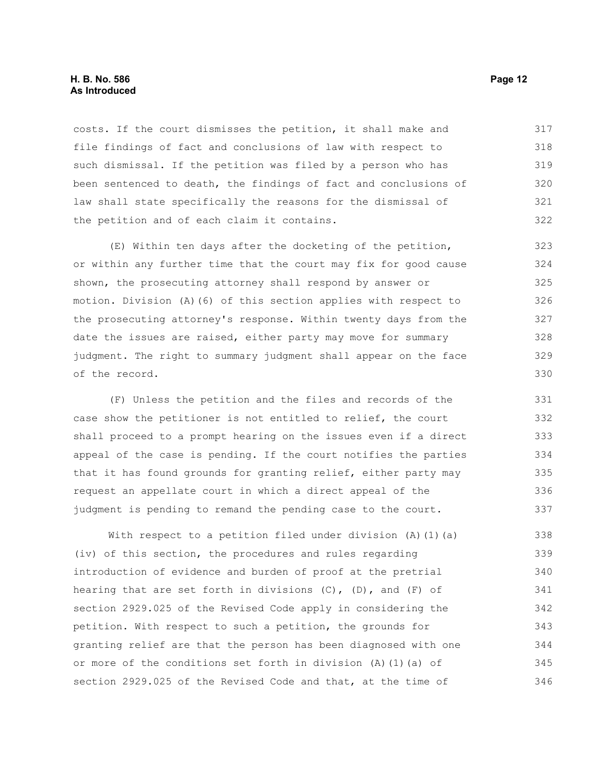#### **H. B. No. 586 Page 12 As Introduced**

costs. If the court dismisses the petition, it shall make and file findings of fact and conclusions of law with respect to such dismissal. If the petition was filed by a person who has been sentenced to death, the findings of fact and conclusions of law shall state specifically the reasons for the dismissal of the petition and of each claim it contains. 317 318 319 320 321 322

(E) Within ten days after the docketing of the petition, or within any further time that the court may fix for good cause shown, the prosecuting attorney shall respond by answer or motion. Division (A)(6) of this section applies with respect to the prosecuting attorney's response. Within twenty days from the date the issues are raised, either party may move for summary judgment. The right to summary judgment shall appear on the face of the record. 323 324 325 326 327 328 329 330

(F) Unless the petition and the files and records of the case show the petitioner is not entitled to relief, the court shall proceed to a prompt hearing on the issues even if a direct appeal of the case is pending. If the court notifies the parties that it has found grounds for granting relief, either party may request an appellate court in which a direct appeal of the judgment is pending to remand the pending case to the court.

With respect to a petition filed under division  $(A)$   $(1)$   $(a)$ (iv) of this section, the procedures and rules regarding introduction of evidence and burden of proof at the pretrial hearing that are set forth in divisions  $(C)$ ,  $(D)$ , and  $(F)$  of section 2929.025 of the Revised Code apply in considering the petition. With respect to such a petition, the grounds for granting relief are that the person has been diagnosed with one or more of the conditions set forth in division (A)(1)(a) of section 2929.025 of the Revised Code and that, at the time of 338 339 340 341 342 343 344 345 346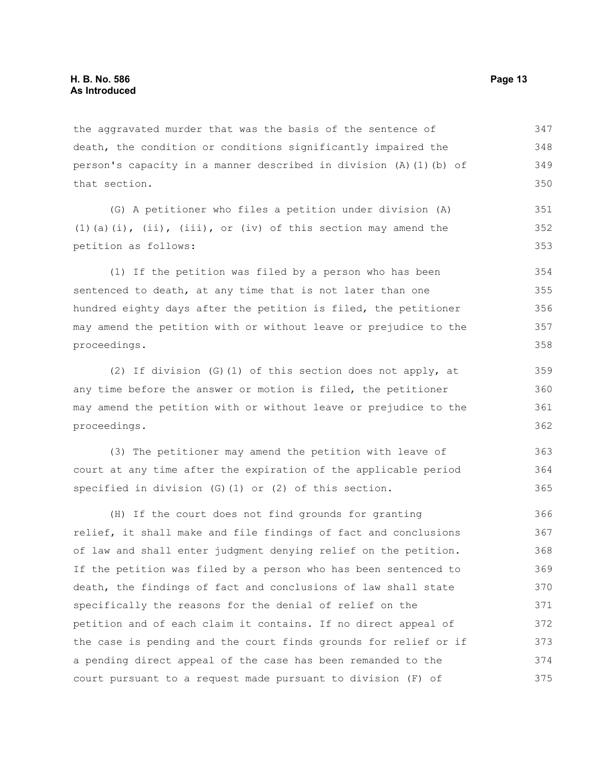the aggravated murder that was the basis of the sentence of death, the condition or conditions significantly impaired the person's capacity in a manner described in division (A)(1)(b) of that section. 347 348 349 350

(G) A petitioner who files a petition under division (A) (1)(a)(i),  $(ii)$ ,  $(iii)$ ,  $(iii)$ , or  $(iv)$  of this section may amend the petition as follows: 351 352 353

(1) If the petition was filed by a person who has been sentenced to death, at any time that is not later than one hundred eighty days after the petition is filed, the petitioner may amend the petition with or without leave or prejudice to the proceedings.

(2) If division (G)(1) of this section does not apply, at any time before the answer or motion is filed, the petitioner may amend the petition with or without leave or prejudice to the proceedings.

(3) The petitioner may amend the petition with leave of court at any time after the expiration of the applicable period specified in division (G)(1) or (2) of this section. 363 364 365

(H) If the court does not find grounds for granting relief, it shall make and file findings of fact and conclusions of law and shall enter judgment denying relief on the petition. If the petition was filed by a person who has been sentenced to death, the findings of fact and conclusions of law shall state specifically the reasons for the denial of relief on the petition and of each claim it contains. If no direct appeal of the case is pending and the court finds grounds for relief or if a pending direct appeal of the case has been remanded to the court pursuant to a request made pursuant to division (F) of 366 367 368 369 370 371 372 373 374 375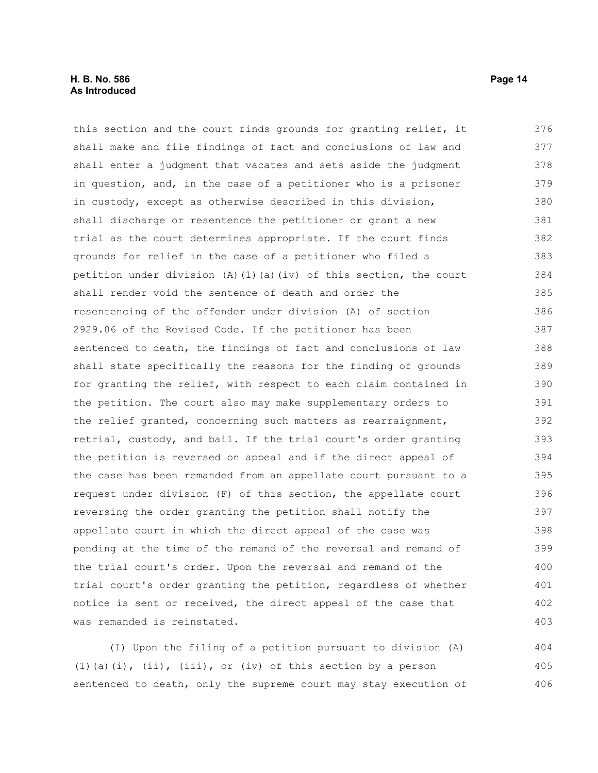#### **H. B. No. 586 Page 14 As Introduced**

this section and the court finds grounds for granting relief, it shall make and file findings of fact and conclusions of law and shall enter a judgment that vacates and sets aside the judgment in question, and, in the case of a petitioner who is a prisoner in custody, except as otherwise described in this division, shall discharge or resentence the petitioner or grant a new trial as the court determines appropriate. If the court finds grounds for relief in the case of a petitioner who filed a petition under division (A)(1)(a)(iv) of this section, the court shall render void the sentence of death and order the resentencing of the offender under division (A) of section 2929.06 of the Revised Code. If the petitioner has been sentenced to death, the findings of fact and conclusions of law shall state specifically the reasons for the finding of grounds for granting the relief, with respect to each claim contained in the petition. The court also may make supplementary orders to the relief granted, concerning such matters as rearraignment, retrial, custody, and bail. If the trial court's order granting the petition is reversed on appeal and if the direct appeal of the case has been remanded from an appellate court pursuant to a request under division (F) of this section, the appellate court reversing the order granting the petition shall notify the appellate court in which the direct appeal of the case was pending at the time of the remand of the reversal and remand of the trial court's order. Upon the reversal and remand of the trial court's order granting the petition, regardless of whether notice is sent or received, the direct appeal of the case that was remanded is reinstated. 376 377 378 379 380 381 382 383 384 385 386 387 388 389 390 391 392 393 394 395 396 397 398 399 400 401 402 403

(I) Upon the filing of a petition pursuant to division (A) (1)(a)(i), (ii), (iii), or (iv) of this section by a person sentenced to death, only the supreme court may stay execution of 404 405 406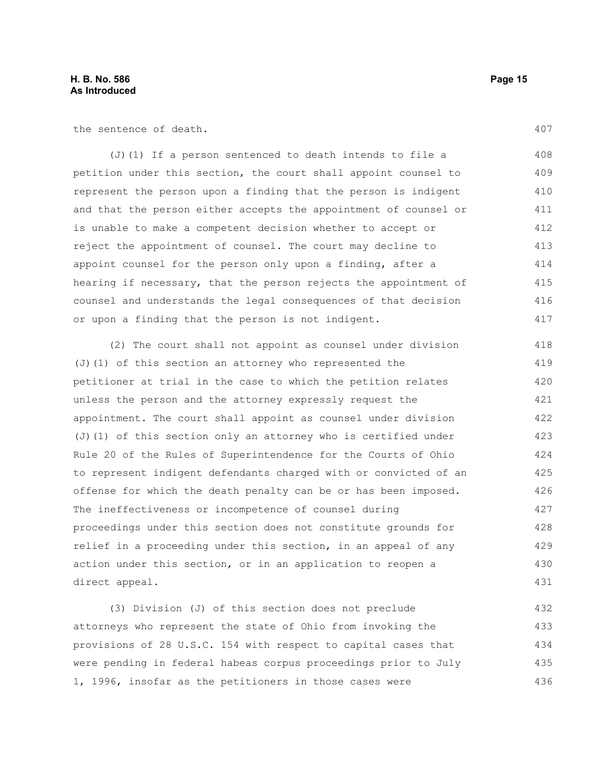the sentence of death.

(J)(1) If a person sentenced to death intends to file a petition under this section, the court shall appoint counsel to represent the person upon a finding that the person is indigent and that the person either accepts the appointment of counsel or is unable to make a competent decision whether to accept or reject the appointment of counsel. The court may decline to appoint counsel for the person only upon a finding, after a hearing if necessary, that the person rejects the appointment of counsel and understands the legal consequences of that decision or upon a finding that the person is not indigent. 408 409 410 411 412 413 414 415 416 417

(2) The court shall not appoint as counsel under division (J)(1) of this section an attorney who represented the petitioner at trial in the case to which the petition relates unless the person and the attorney expressly request the appointment. The court shall appoint as counsel under division (J)(1) of this section only an attorney who is certified under Rule 20 of the Rules of Superintendence for the Courts of Ohio to represent indigent defendants charged with or convicted of an offense for which the death penalty can be or has been imposed. The ineffectiveness or incompetence of counsel during proceedings under this section does not constitute grounds for relief in a proceeding under this section, in an appeal of any action under this section, or in an application to reopen a direct appeal. 418 419 420 421 422 423 424 425 426 427 428 429 430 431

(3) Division (J) of this section does not preclude attorneys who represent the state of Ohio from invoking the provisions of 28 U.S.C. 154 with respect to capital cases that were pending in federal habeas corpus proceedings prior to July 1, 1996, insofar as the petitioners in those cases were 432 433 434 435 436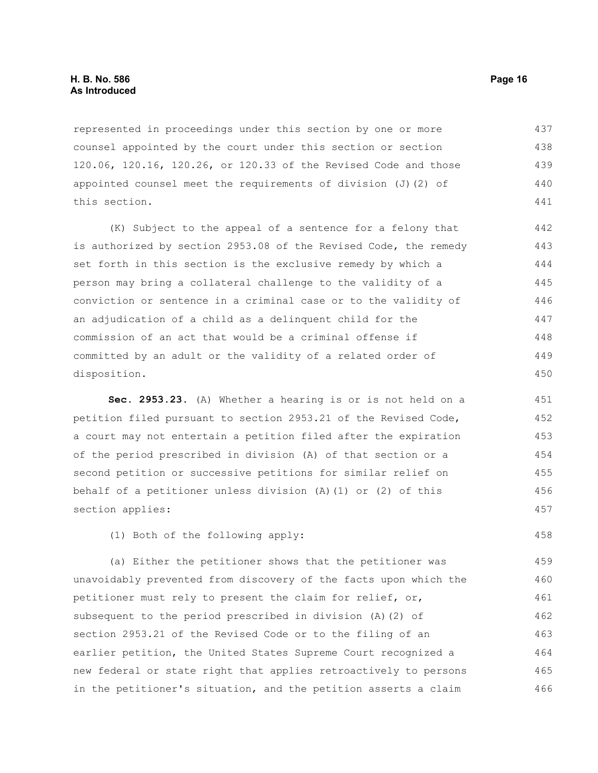represented in proceedings under this section by one or more counsel appointed by the court under this section or section 120.06, 120.16, 120.26, or 120.33 of the Revised Code and those appointed counsel meet the requirements of division  $(J)$  (2) of this section. 437 438 439 440 441

(K) Subject to the appeal of a sentence for a felony that is authorized by section 2953.08 of the Revised Code, the remedy set forth in this section is the exclusive remedy by which a person may bring a collateral challenge to the validity of a conviction or sentence in a criminal case or to the validity of an adjudication of a child as a delinquent child for the commission of an act that would be a criminal offense if committed by an adult or the validity of a related order of disposition.

**Sec. 2953.23.** (A) Whether a hearing is or is not held on a petition filed pursuant to section 2953.21 of the Revised Code, a court may not entertain a petition filed after the expiration of the period prescribed in division (A) of that section or a second petition or successive petitions for similar relief on behalf of a petitioner unless division (A)(1) or (2) of this section applies: 451 452 453 454 455 456 457

(1) Both of the following apply:

(a) Either the petitioner shows that the petitioner was unavoidably prevented from discovery of the facts upon which the petitioner must rely to present the claim for relief, or, subsequent to the period prescribed in division (A)(2) of section 2953.21 of the Revised Code or to the filing of an earlier petition, the United States Supreme Court recognized a new federal or state right that applies retroactively to persons in the petitioner's situation, and the petition asserts a claim 459 460 461 462 463 464 465 466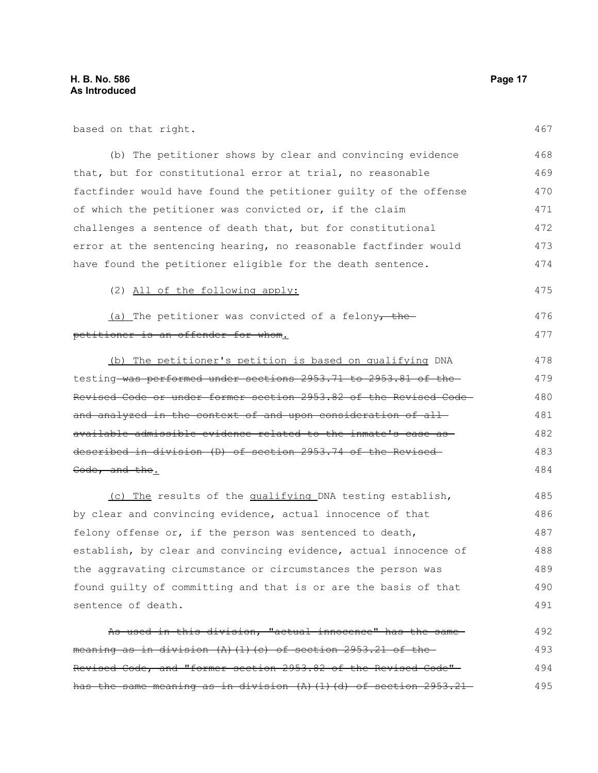based on that right.

| (b) The petitioner shows by clear and convincing evidence                | 468 |
|--------------------------------------------------------------------------|-----|
| that, but for constitutional error at trial, no reasonable               | 469 |
| factfinder would have found the petitioner quilty of the offense         | 470 |
| of which the petitioner was convicted or, if the claim                   |     |
| challenges a sentence of death that, but for constitutional              | 472 |
| error at the sentencing hearing, no reasonable factfinder would          | 473 |
| have found the petitioner eligible for the death sentence.               | 474 |
| (2) All of the following apply:                                          | 475 |
| $(a)$ The petitioner was convicted of a felony, the                      | 476 |
| petitioner is an offender for whom.                                      | 477 |
| (b) The petitioner's petition is based on qualifying DNA                 | 478 |
| testing-was performed under sections 2953.71 to 2953.81 of the-          | 479 |
| Revised Code or under former section 2953.82 of the Revised Code-        | 480 |
| and analyzed in the context of and upon consideration of all-            | 481 |
| available admissible evidence related to the inmate's case as-           | 482 |
| described in division (D) of section 2953.74 of the Revised              | 483 |
| Code, and the.                                                           | 484 |
| (c) The results of the qualifying DNA testing establish,                 | 485 |
| by clear and convincing evidence, actual innocence of that               | 486 |
| felony offense or, if the person was sentenced to death,                 | 487 |
| establish, by clear and convincing evidence, actual innocence of         | 488 |
| the aggravating circumstance or circumstances the person was             | 489 |
| found guilty of committing and that is or are the basis of that          | 490 |
| sentence of death.                                                       | 491 |
| As used in this division, "actual innocence" has the same-               | 492 |
| meaning as in division (A) (1) (c) of section 2953.21 of the             | 493 |
| Revised Code, and "former section 2953.82 of the Revised Code"-          | 494 |
| has the same meaning as in division $(A)$ $(1)$ $(d)$ of section 2953.21 | 495 |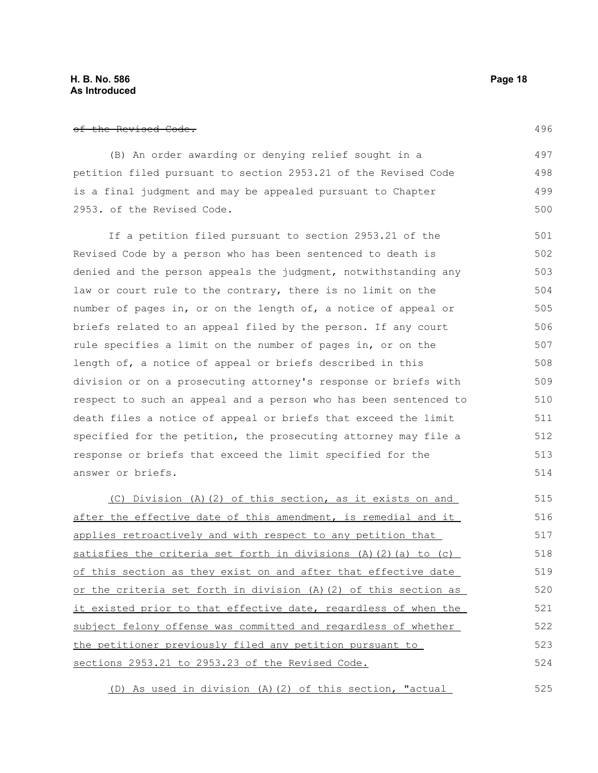(B) An order awarding or denying relief sought in a petition filed pursuant to section 2953.21 of the Revised Code is a final judgment and may be appealed pursuant to Chapter 2953. of the Revised Code.

If a petition filed pursuant to section 2953.21 of the Revised Code by a person who has been sentenced to death is denied and the person appeals the judgment, notwithstanding any law or court rule to the contrary, there is no limit on the number of pages in, or on the length of, a notice of appeal or briefs related to an appeal filed by the person. If any court rule specifies a limit on the number of pages in, or on the length of, a notice of appeal or briefs described in this division or on a prosecuting attorney's response or briefs with respect to such an appeal and a person who has been sentenced to death files a notice of appeal or briefs that exceed the limit specified for the petition, the prosecuting attorney may file a response or briefs that exceed the limit specified for the answer or briefs. 501 502 503 504 505 506 507 508 509 510 511 512 513 514

(C) Division (A)(2) of this section, as it exists on and after the effective date of this amendment, is remedial and it applies retroactively and with respect to any petition that satisfies the criteria set forth in divisions  $(A)$   $(2)$   $(a)$  to  $(c)$ of this section as they exist on and after that effective date or the criteria set forth in division (A)(2) of this section as it existed prior to that effective date, regardless of when the subject felony offense was committed and regardless of whether the petitioner previously filed any petition pursuant to sections 2953.21 to 2953.23 of the Revised Code. 515 516 517 518 519 520 521 522 523 524

(D) As used in division (A)(2) of this section, "actual 525

496